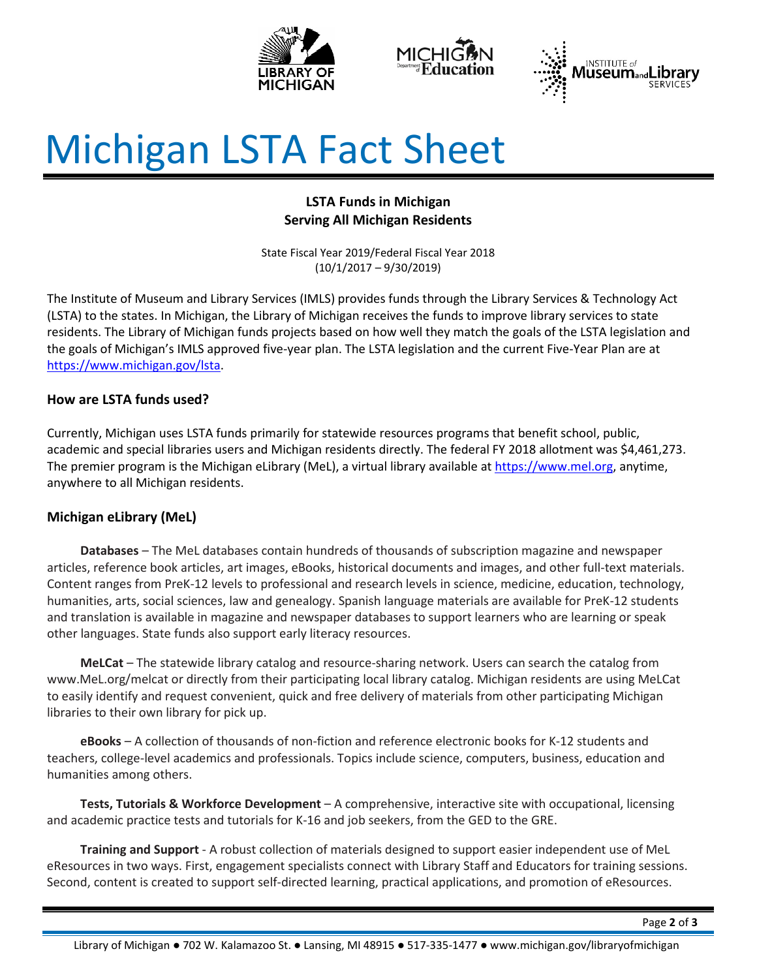





# Michigan LSTA Fact Sheet

# **LSTA Funds in Michigan Serving All Michigan Residents**

State Fiscal Year 2019/Federal Fiscal Year 2018 (10/1/2017 – 9/30/2019)

The Institute of Museum and Library Services (IMLS) provides funds through the Library Services & Technology Act (LSTA) to the states. In Michigan, the Library of Michigan receives the funds to improve library services to state residents. The Library of Michigan funds projects based on how well they match the goals of the LSTA legislation and the goals of Michigan's IMLS approved five-year plan. The LSTA legislation and the current Five-Year Plan are at [https://www.michigan.gov/lsta.](https://www.michigan.gov/lsta)

# **How are LSTA funds used?**

Currently, Michigan uses LSTA funds primarily for statewide resources programs that benefit school, public, academic and special libraries users and Michigan residents directly. The federal FY 2018 allotment was \$4,461,273. The premier program is the Michigan eLibrary (MeL), a virtual library available at [https://www.mel.org,](https://www.mel.org/) anytime, anywhere to all Michigan residents.

# **Michigan eLibrary (MeL)**

**Databases** – The MeL databases contain hundreds of thousands of subscription magazine and newspaper articles, reference book articles, art images, eBooks, historical documents and images, and other full-text materials. Content ranges from PreK-12 levels to professional and research levels in science, medicine, education, technology, humanities, arts, social sciences, law and genealogy. Spanish language materials are available for PreK-12 students and translation is available in magazine and newspaper databases to support learners who are learning or speak other languages. State funds also support early literacy resources.

**MeLCat** – The statewide library catalog and resource-sharing network. Users can search the catalog from www.MeL.org/melcat or directly from their participating local library catalog. Michigan residents are using MeLCat to easily identify and request convenient, quick and free delivery of materials from other participating Michigan libraries to their own library for pick up.

**eBooks** – A collection of thousands of non-fiction and reference electronic books for K-12 students and teachers, college-level academics and professionals. Topics include science, computers, business, education and humanities among others.

**Tests, Tutorials & Workforce Development** – A comprehensive, interactive site with occupational, licensing and academic practice tests and tutorials for K-16 and job seekers, from the GED to the GRE.

**Training and Support** - A robust collection of materials designed to support easier independent use of MeL eResources in two ways. First, engagement specialists connect with Library Staff and Educators for training sessions. Second, content is created to support self-directed learning, practical applications, and promotion of eResources.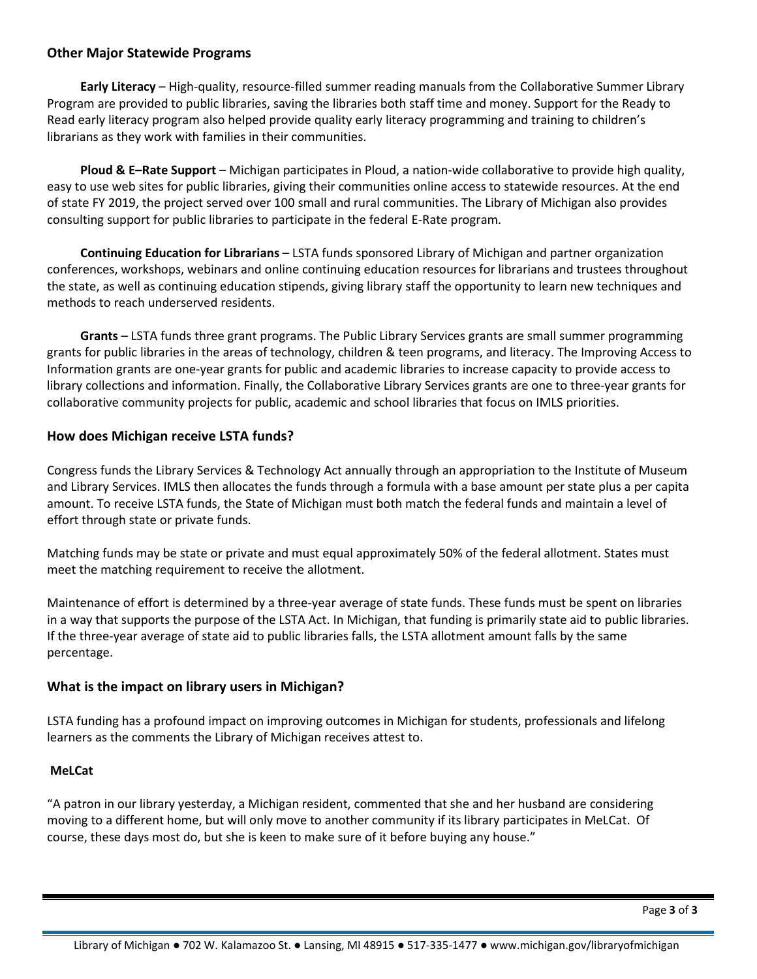#### **Other Major Statewide Programs**

**Early Literacy** – High-quality, resource-filled summer reading manuals from the Collaborative Summer Library Program are provided to public libraries, saving the libraries both staff time and money. Support for the Ready to Read early literacy program also helped provide quality early literacy programming and training to children's librarians as they work with families in their communities.

**Ploud & E–Rate Support** – Michigan participates in Ploud, a nation-wide collaborative to provide high quality, easy to use web sites for public libraries, giving their communities online access to statewide resources. At the end of state FY 2019, the project served over 100 small and rural communities. The Library of Michigan also provides consulting support for public libraries to participate in the federal E-Rate program.

**Continuing Education for Librarians** – LSTA funds sponsored Library of Michigan and partner organization conferences, workshops, webinars and online continuing education resources for librarians and trustees throughout the state, as well as continuing education stipends, giving library staff the opportunity to learn new techniques and methods to reach underserved residents.

**Grants** – LSTA funds three grant programs. The Public Library Services grants are small summer programming grants for public libraries in the areas of technology, children & teen programs, and literacy. The Improving Access to Information grants are one-year grants for public and academic libraries to increase capacity to provide access to library collections and information. Finally, the Collaborative Library Services grants are one to three-year grants for collaborative community projects for public, academic and school libraries that focus on IMLS priorities.

#### **How does Michigan receive LSTA funds?**

Congress funds the Library Services & Technology Act annually through an appropriation to the Institute of Museum and Library Services. IMLS then allocates the funds through a formula with a base amount per state plus a per capita amount. To receive LSTA funds, the State of Michigan must both match the federal funds and maintain a level of effort through state or private funds.

Matching funds may be state or private and must equal approximately 50% of the federal allotment. States must meet the matching requirement to receive the allotment.

Maintenance of effort is determined by a three-year average of state funds. These funds must be spent on libraries in a way that supports the purpose of the LSTA Act. In Michigan, that funding is primarily state aid to public libraries. If the three-year average of state aid to public libraries falls, the LSTA allotment amount falls by the same percentage.

# **What is the impact on library users in Michigan?**

LSTA funding has a profound impact on improving outcomes in Michigan for students, professionals and lifelong learners as the comments the Library of Michigan receives attest to.

# **MeLCat**

"A patron in our library yesterday, a Michigan resident, commented that she and her husband are considering moving to a different home, but will only move to another community if its library participates in MeLCat. Of course, these days most do, but she is keen to make sure of it before buying any house."